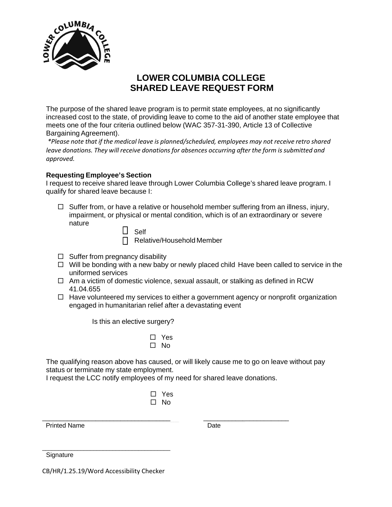

# **LOWER COLUMBIA COLLEGE SHARED LEAVE REQUEST FORM**

The purpose of the shared leave program is to permit state employees, at no significantly increased cost to the state, of providing leave to come to the aid of another state employee that meets one of the four criteria outlined below (WAC 357-31-390, Article 13 of Collective Bargaining Agreement).

*\*Please note that if the medical leave is planned/scheduled, employees may not receive retro shared leave donations. They will receive donationsfor absences occurring after the form is submitted and approved.*

#### **Requesting Employee's Section**

I request to receive shared leave through Lower Columbia College's shared leave program. I qualify for shared leave because I:

 $\Box$  Suffer from, or have a relative or household member suffering from an illness, injury, impairment, or physical or mental condition, which is of an extraordinary or severe nature

| elt |
|-----|
| 1   |

Relative/Household Member

- $\Box$  Suffer from pregnancy disability
- $\Box$  Will be bonding with a new baby or newly placed child Have been called to service in the uniformed services
- $\Box$  Am a victim of domestic violence, sexual assault, or stalking as defined in RCW 41.04.655
- $\Box$  Have volunteered my services to either a government agency or nonprofit organization engaged in humanitarian relief after a devastating event

Is this an elective surgery?

□ Yes  $\square$  No

The qualifying reason above has caused, or will likely cause me to go on leave without pay status or terminate my state employment.

I request the LCC notify employees of my need for shared leave donations.

□ Yes  $\Box$  No

Printed Name Date

\_\_\_\_\_\_\_\_\_\_\_\_\_\_\_\_\_\_\_\_\_\_\_\_\_\_\_\_\_\_\_\_\_\_\_\_ \_\_\_\_\_\_\_\_\_\_\_\_\_\_\_\_\_\_\_\_\_\_\_\_ \_\_\_\_\_\_\_\_\_\_\_\_\_\_\_\_\_\_\_\_\_\_\_\_\_\_\_\_\_\_\_\_\_\_\_\_\_\_\_\_\_\_\_\_\_\_\_\_\_\_\_\_\_\_\_\_\_\_\_\_\_\_\_\_\_\_\_\_\_\_\_\_\_\_\_\_\_\_\_\_\_\_\_\_\_\_\_\_\_\_\_\_\_\_\_\_\_\_\_\_\_\_\_\_\_\_\_\_\_\_\_\_\_\_\_\_\_\_\_\_\_\_\_\_\_\_\_\_\_\_\_\_\_\_\_\_\_\_\_\_\_\_\_\_\_\_\_\_\_\_\_\_\_\_\_\_\_\_\_\_\_\_\_\_\_\_\_\_\_\_\_\_\_\_\_\_\_\_\_\_\_\_\_\_\_\_\_\_\_\_\_\_\_\_\_\_\_\_\_\_\_\_\_\_\_\_\_\_\_\_\_\_\_\_\_\_\_\_\_\_\_\_\_\_\_\_\_\_\_\_\_\_\_\_\_\_\_\_\_\_\_\_\_\_\_\_\_\_\_\_\_\_\_\_\_\_\_\_\_\_\_\_\_\_\_\_\_\_\_\_\_\_\_\_\_\_\_\_\_\_\_\_\_\_\_\_\_\_\_\_\_\_\_\_\_\_\_\_\_\_\_\_\_\_\_\_\_\_\_\_\_\_\_\_\_\_\_\_\_\_\_\_\_\_\_\_\_\_\_\_\_\_\_\_\_\_\_\_\_\_\_\_\_\_\_\_\_\_\_\_\_\_\_\_\_\_\_\_\_\_\_\_\_\_\_\_\_\_\_\_\_\_\_\_ \_\_\_\_\_\_\_\_\_\_\_\_\_\_\_\_\_\_\_\_\_\_\_\_\_\_\_\_\_\_\_\_\_\_\_\_\_\_\_\_\_\_\_\_\_\_\_\_\_\_\_\_\_\_\_\_\_\_\_\_\_\_\_\_\_\_\_\_\_\_\_\_\_\_\_\_\_\_\_\_\_\_\_\_\_\_\_\_\_\_\_\_\_\_\_\_\_\_\_\_\_\_\_\_\_\_\_

**Signature** 

CB/HR/1.25.19/Word Accessibility Checker

\_\_\_\_\_\_\_\_\_\_\_\_\_\_\_\_\_\_\_\_\_\_\_\_\_\_\_\_\_\_\_\_\_\_\_\_\_\_\_\_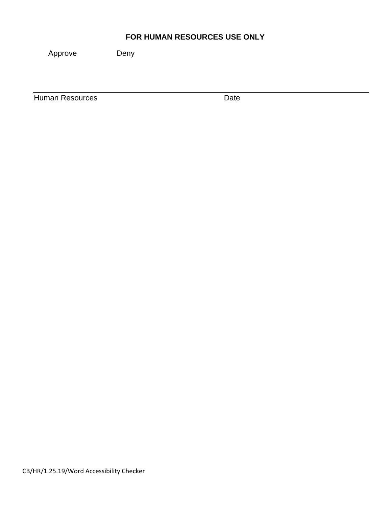### **FOR HUMAN RESOURCES USE ONLY**

Approve Deny

**Human Resources** Date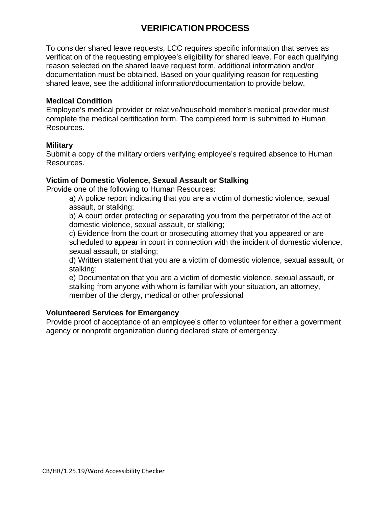# **VERIFICATION PROCESS**

To consider shared leave requests, LCC requires specific information that serves as verification of the requesting employee's eligibility for shared leave. For each qualifying reason selected on the shared leave request form, additional information and/or documentation must be obtained. Based on your qualifying reason for requesting shared leave, see the additional information/documentation to provide below.

#### **Medical Condition**

Employee's medical provider or relative/household member's medical provider must complete the medical certification form. The completed form is submitted to Human Resources.

#### **Military**

Submit a copy of the military orders verifying employee's required absence to Human Resources.

#### **Victim of Domestic Violence, Sexual Assault or Stalking**

Provide one of the following to Human Resources:

a) A police report indicating that you are a victim of domestic violence, sexual assault, or stalking;

b) A court order protecting or separating you from the perpetrator of the act of domestic violence, sexual assault, or stalking;

c) Evidence from the court or prosecuting attorney that you appeared or are scheduled to appear in court in connection with the incident of domestic violence, sexual assault, or stalking;

d) Written statement that you are a victim of domestic violence, sexual assault, or stalking;

e) Documentation that you are a victim of domestic violence, sexual assault, or stalking from anyone with whom is familiar with your situation, an attorney, member of the clergy, medical or other professional

#### **Volunteered Services for Emergency**

Provide proof of acceptance of an employee's offer to volunteer for either a government agency or nonprofit organization during declared state of emergency.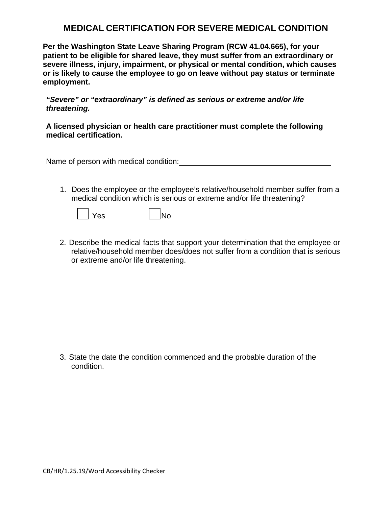### **MEDICAL CERTIFICATION FOR SEVERE MEDICAL CONDITION**

**Per the Washington State Leave Sharing Program (RCW 41.04.665), for your patient to be eligible for shared leave, they must suffer from an extraordinary or severe illness, injury, impairment, or physical or mental condition, which causes or is likely to cause the employee to go on leave without pay status or terminate employment.** 

*"Severe" or "extraordinary" is defined as serious or extreme and/or life threatening.*

#### **A licensed physician or health care practitioner must complete the following medical certification.**

Name of person with medical condition:

1. Does the employee or the employee's relative/household member suffer from a medical condition which is serious or extreme and/or life threatening?



Yes No

2. Describe the medical facts that support your determination that the employee or relative/household member does/does not suffer from a condition that is serious or extreme and/or life threatening.

3. State the date the condition commenced and the probable duration of the condition.